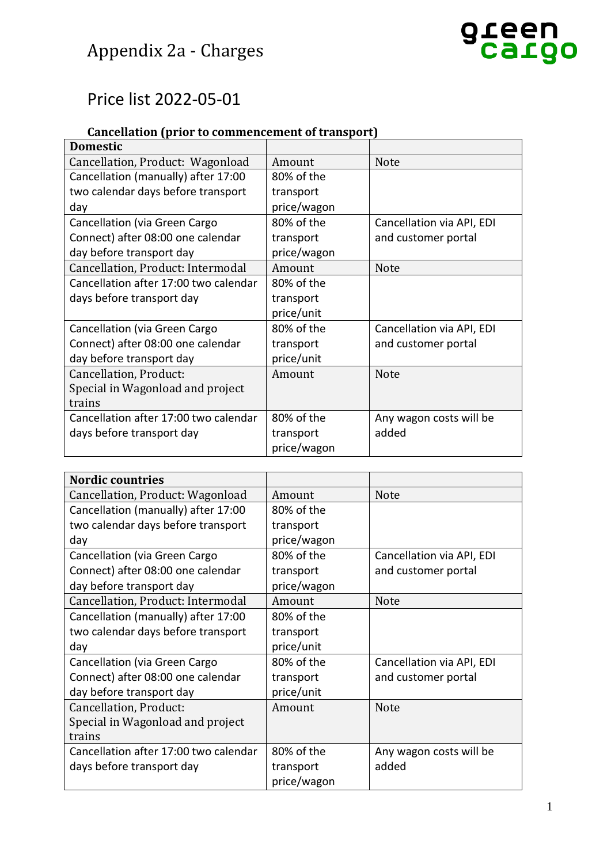## Appendix 2a - Charges

### Price list 2022-05-01

### **Cancellation (prior to commencement of transport)**

| <b>Domestic</b>                       |             |                           |
|---------------------------------------|-------------|---------------------------|
| Cancellation, Product: Wagonload      | Amount      | <b>Note</b>               |
| Cancellation (manually) after 17:00   | 80% of the  |                           |
| two calendar days before transport    | transport   |                           |
| day                                   | price/wagon |                           |
| Cancellation (via Green Cargo         | 80% of the  | Cancellation via API, EDI |
| Connect) after 08:00 one calendar     | transport   | and customer portal       |
| day before transport day              | price/wagon |                           |
| Cancellation, Product: Intermodal     | Amount      | <b>Note</b>               |
| Cancellation after 17:00 two calendar | 80% of the  |                           |
| days before transport day             | transport   |                           |
|                                       | price/unit  |                           |
| Cancellation (via Green Cargo         | 80% of the  | Cancellation via API, EDI |
| Connect) after 08:00 one calendar     | transport   | and customer portal       |
| day before transport day              | price/unit  |                           |
| Cancellation, Product:                | Amount      | <b>Note</b>               |
| Special in Wagonload and project      |             |                           |
| trains                                |             |                           |
| Cancellation after 17:00 two calendar | 80% of the  | Any wagon costs will be   |
| days before transport day             | transport   | added                     |
|                                       | price/wagon |                           |

| <b>Nordic countries</b>               |             |                           |
|---------------------------------------|-------------|---------------------------|
| Cancellation, Product: Wagonload      | Amount      | <b>Note</b>               |
| Cancellation (manually) after 17:00   | 80% of the  |                           |
| two calendar days before transport    | transport   |                           |
| day                                   | price/wagon |                           |
| Cancellation (via Green Cargo         | 80% of the  | Cancellation via API, EDI |
| Connect) after 08:00 one calendar     | transport   | and customer portal       |
| day before transport day              | price/wagon |                           |
| Cancellation, Product: Intermodal     | Amount      | <b>Note</b>               |
| Cancellation (manually) after 17:00   | 80% of the  |                           |
| two calendar days before transport    | transport   |                           |
| day                                   | price/unit  |                           |
| Cancellation (via Green Cargo         | 80% of the  | Cancellation via API, EDI |
| Connect) after 08:00 one calendar     | transport   | and customer portal       |
| day before transport day              | price/unit  |                           |
| Cancellation, Product:                | Amount      | <b>Note</b>               |
| Special in Wagonload and project      |             |                           |
| trains                                |             |                           |
| Cancellation after 17:00 two calendar | 80% of the  | Any wagon costs will be   |
| days before transport day             | transport   | added                     |
|                                       | price/wagon |                           |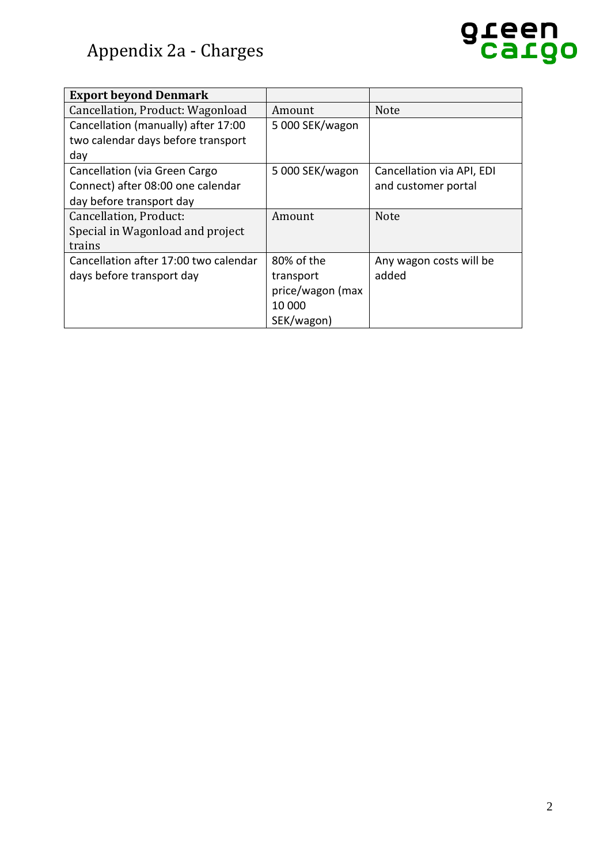

| <b>Export beyond Denmark</b>          |                  |                           |
|---------------------------------------|------------------|---------------------------|
| Cancellation, Product: Wagonload      | Amount           | Note                      |
| Cancellation (manually) after 17:00   | 5 000 SEK/wagon  |                           |
| two calendar days before transport    |                  |                           |
| day                                   |                  |                           |
| Cancellation (via Green Cargo         | 5 000 SEK/wagon  | Cancellation via API, EDI |
| Connect) after 08:00 one calendar     |                  | and customer portal       |
| day before transport day              |                  |                           |
| Cancellation, Product:                | Amount           | <b>Note</b>               |
| Special in Wagonload and project      |                  |                           |
| trains                                |                  |                           |
| Cancellation after 17:00 two calendar | 80% of the       | Any wagon costs will be   |
| days before transport day             | transport        | added                     |
|                                       | price/wagon (max |                           |
|                                       | 10 000           |                           |
|                                       | SEK/wagon)       |                           |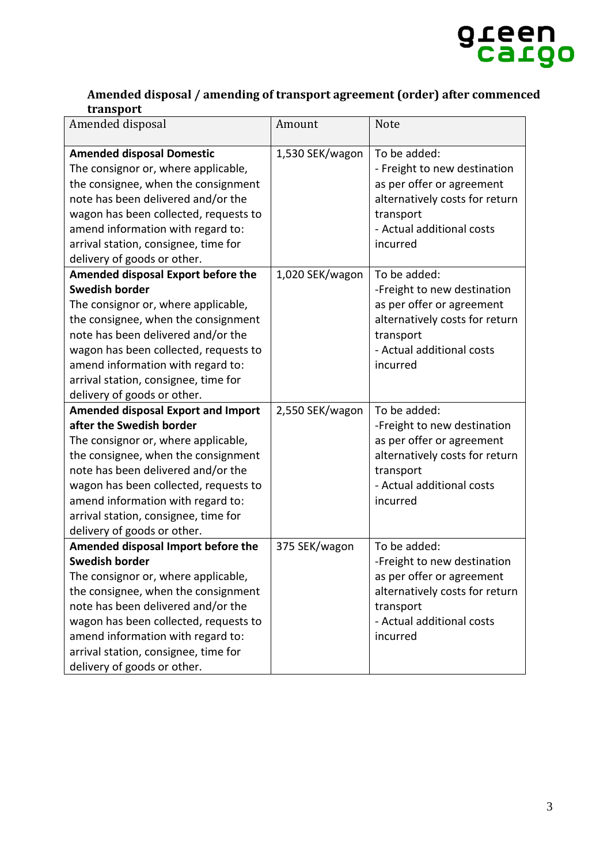

#### **Amended disposal / amending of transport agreement (order) after commenced transport**

| Amended disposal                                                                                                                                                                                                                                                                                                                               | Amount          | <b>Note</b>                                                                                                                                                       |
|------------------------------------------------------------------------------------------------------------------------------------------------------------------------------------------------------------------------------------------------------------------------------------------------------------------------------------------------|-----------------|-------------------------------------------------------------------------------------------------------------------------------------------------------------------|
| <b>Amended disposal Domestic</b><br>The consignor or, where applicable,<br>the consignee, when the consignment<br>note has been delivered and/or the<br>wagon has been collected, requests to<br>amend information with regard to:<br>arrival station, consignee, time for<br>delivery of goods or other.                                      | 1,530 SEK/wagon | To be added:<br>- Freight to new destination<br>as per offer or agreement<br>alternatively costs for return<br>transport<br>- Actual additional costs<br>incurred |
| <b>Amended disposal Export before the</b><br><b>Swedish border</b><br>The consignor or, where applicable,<br>the consignee, when the consignment<br>note has been delivered and/or the<br>wagon has been collected, requests to<br>amend information with regard to:<br>arrival station, consignee, time for<br>delivery of goods or other.    | 1,020 SEK/wagon | To be added:<br>-Freight to new destination<br>as per offer or agreement<br>alternatively costs for return<br>transport<br>- Actual additional costs<br>incurred  |
| <b>Amended disposal Export and Import</b><br>after the Swedish border<br>The consignor or, where applicable,<br>the consignee, when the consignment<br>note has been delivered and/or the<br>wagon has been collected, requests to<br>amend information with regard to:<br>arrival station, consignee, time for<br>delivery of goods or other. | 2,550 SEK/wagon | To be added:<br>-Freight to new destination<br>as per offer or agreement<br>alternatively costs for return<br>transport<br>- Actual additional costs<br>incurred  |
| Amended disposal Import before the<br><b>Swedish border</b><br>The consignor or, where applicable,<br>the consignee, when the consignment<br>note has been delivered and/or the<br>wagon has been collected, requests to<br>amend information with regard to:<br>arrival station, consignee, time for<br>delivery of goods or other.           | 375 SEK/wagon   | To be added:<br>-Freight to new destination<br>as per offer or agreement<br>alternatively costs for return<br>transport<br>- Actual additional costs<br>incurred  |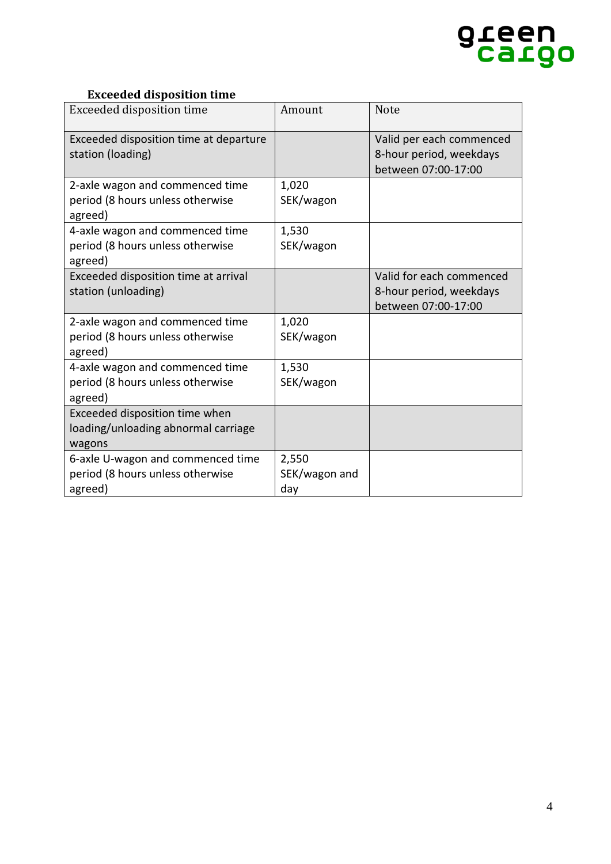

#### **Exceeded disposition time**

| Exceeded disposition time                                                        | Amount                        | <b>Note</b>                                                                |
|----------------------------------------------------------------------------------|-------------------------------|----------------------------------------------------------------------------|
| Exceeded disposition time at departure<br>station (loading)                      |                               | Valid per each commenced<br>8-hour period, weekdays<br>between 07:00-17:00 |
| 2-axle wagon and commenced time<br>period (8 hours unless otherwise<br>agreed)   | 1,020<br>SEK/wagon            |                                                                            |
| 4-axle wagon and commenced time<br>period (8 hours unless otherwise<br>agreed)   | 1,530<br>SEK/wagon            |                                                                            |
| Exceeded disposition time at arrival<br>station (unloading)                      |                               | Valid for each commenced<br>8-hour period, weekdays<br>between 07:00-17:00 |
| 2-axle wagon and commenced time<br>period (8 hours unless otherwise<br>agreed)   | 1,020<br>SEK/wagon            |                                                                            |
| 4-axle wagon and commenced time<br>period (8 hours unless otherwise<br>agreed)   | 1,530<br>SEK/wagon            |                                                                            |
| Exceeded disposition time when<br>loading/unloading abnormal carriage<br>wagons  |                               |                                                                            |
| 6-axle U-wagon and commenced time<br>period (8 hours unless otherwise<br>agreed) | 2,550<br>SEK/wagon and<br>day |                                                                            |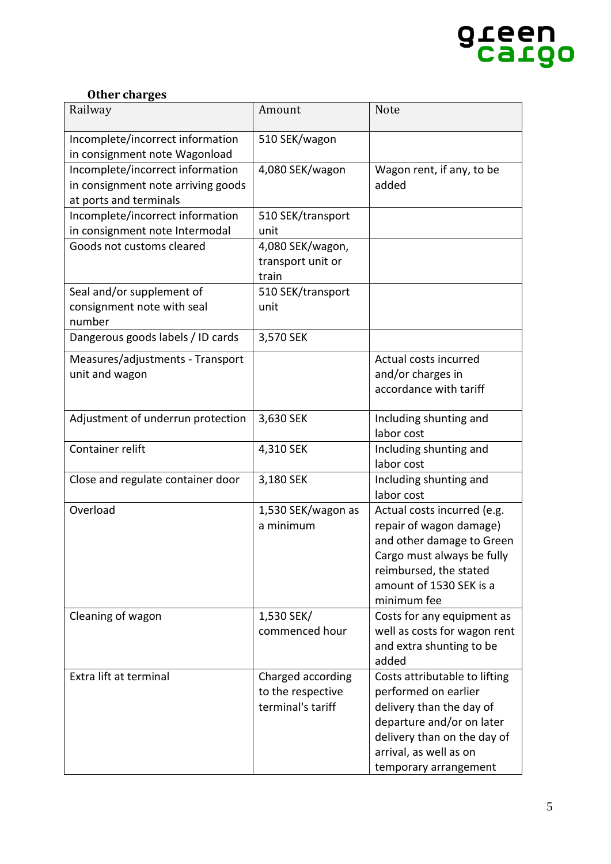

#### **Other charges**

| Railway                                                                                          | Amount                                                      | <b>Note</b>                                                                                                                                                                                      |
|--------------------------------------------------------------------------------------------------|-------------------------------------------------------------|--------------------------------------------------------------------------------------------------------------------------------------------------------------------------------------------------|
| Incomplete/incorrect information<br>in consignment note Wagonload                                | 510 SEK/wagon                                               |                                                                                                                                                                                                  |
| Incomplete/incorrect information<br>in consignment note arriving goods<br>at ports and terminals | 4,080 SEK/wagon                                             | Wagon rent, if any, to be<br>added                                                                                                                                                               |
| Incomplete/incorrect information<br>in consignment note Intermodal                               | 510 SEK/transport<br>unit                                   |                                                                                                                                                                                                  |
| Goods not customs cleared                                                                        | 4,080 SEK/wagon,<br>transport unit or<br>train              |                                                                                                                                                                                                  |
| Seal and/or supplement of<br>consignment note with seal<br>number                                | 510 SEK/transport<br>unit                                   |                                                                                                                                                                                                  |
| Dangerous goods labels / ID cards                                                                | 3,570 SEK                                                   |                                                                                                                                                                                                  |
| Measures/adjustments - Transport<br>unit and wagon                                               |                                                             | Actual costs incurred<br>and/or charges in<br>accordance with tariff                                                                                                                             |
| Adjustment of underrun protection                                                                | 3,630 SEK                                                   | Including shunting and<br>labor cost                                                                                                                                                             |
| Container relift                                                                                 | 4,310 SEK                                                   | Including shunting and<br>labor cost                                                                                                                                                             |
| Close and regulate container door                                                                | 3,180 SEK                                                   | Including shunting and<br>labor cost                                                                                                                                                             |
| Overload                                                                                         | 1,530 SEK/wagon as<br>a minimum                             | Actual costs incurred (e.g.<br>repair of wagon damage)<br>and other damage to Green<br>Cargo must always be fully<br>reimbursed, the stated<br>amount of 1530 SEK is a<br>minimum fee            |
| Cleaning of wagon                                                                                | 1,530 SEK/<br>commenced hour                                | Costs for any equipment as<br>well as costs for wagon rent<br>and extra shunting to be<br>added                                                                                                  |
| Extra lift at terminal                                                                           | Charged according<br>to the respective<br>terminal's tariff | Costs attributable to lifting<br>performed on earlier<br>delivery than the day of<br>departure and/or on later<br>delivery than on the day of<br>arrival, as well as on<br>temporary arrangement |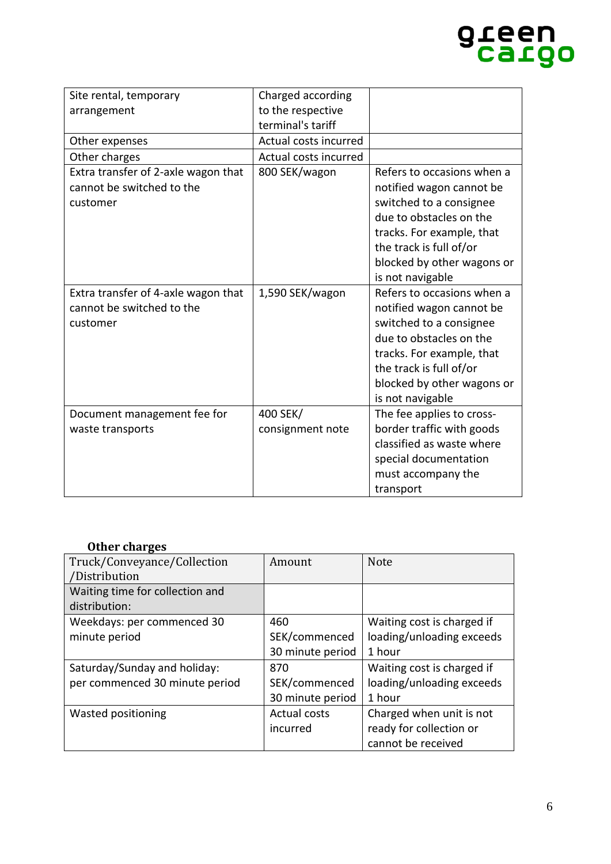## green<br>Cargo

| Site rental, temporary              | Charged according     |                            |
|-------------------------------------|-----------------------|----------------------------|
| arrangement                         | to the respective     |                            |
|                                     | terminal's tariff     |                            |
| Other expenses                      | Actual costs incurred |                            |
| Other charges                       | Actual costs incurred |                            |
| Extra transfer of 2-axle wagon that | 800 SEK/wagon         | Refers to occasions when a |
| cannot be switched to the           |                       | notified wagon cannot be   |
| customer                            |                       | switched to a consignee    |
|                                     |                       | due to obstacles on the    |
|                                     |                       | tracks. For example, that  |
|                                     |                       | the track is full of/or    |
|                                     |                       | blocked by other wagons or |
|                                     |                       | is not navigable           |
| Extra transfer of 4-axle wagon that | 1,590 SEK/wagon       | Refers to occasions when a |
| cannot be switched to the           |                       | notified wagon cannot be   |
| customer                            |                       | switched to a consignee    |
|                                     |                       | due to obstacles on the    |
|                                     |                       | tracks. For example, that  |
|                                     |                       | the track is full of/or    |
|                                     |                       | blocked by other wagons or |
|                                     |                       | is not navigable           |
| Document management fee for         | 400 SEK/              | The fee applies to cross-  |
| waste transports                    | consignment note      | border traffic with goods  |
|                                     |                       | classified as waste where  |
|                                     |                       | special documentation      |
|                                     |                       | must accompany the         |
|                                     |                       | transport                  |

#### **Other charges**

| Truck/Conveyance/Collection     | Amount           | <b>Note</b>                |
|---------------------------------|------------------|----------------------------|
| /Distribution                   |                  |                            |
| Waiting time for collection and |                  |                            |
| distribution:                   |                  |                            |
| Weekdays: per commenced 30      | 460              | Waiting cost is charged if |
| minute period                   | SEK/commenced    | loading/unloading exceeds  |
|                                 | 30 minute period | 1 hour                     |
| Saturday/Sunday and holiday:    | 870              | Waiting cost is charged if |
| per commenced 30 minute period  | SEK/commenced    | loading/unloading exceeds  |
|                                 | 30 minute period | 1 hour                     |
| Wasted positioning              | Actual costs     | Charged when unit is not   |
|                                 | incurred         | ready for collection or    |
|                                 |                  | cannot be received         |